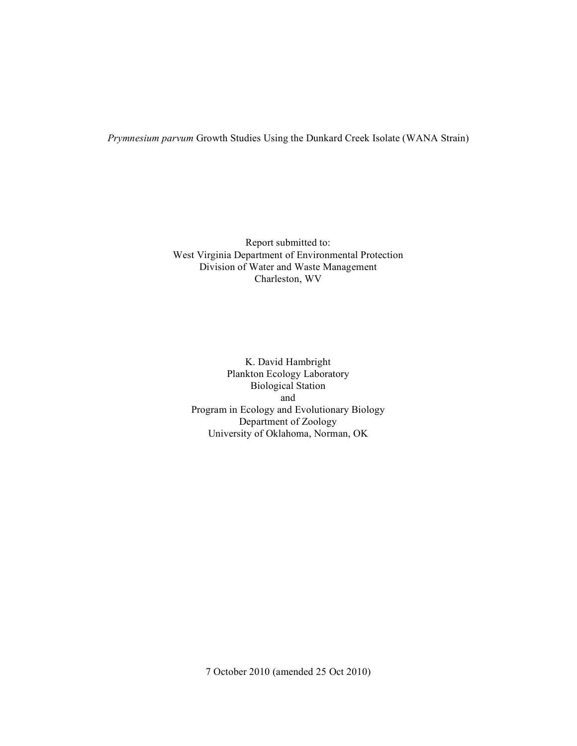*Prymnesium parvum* Growth Studies Using the Dunkard Creek Isolate (WANA Strain)

Report submitted to: West Virginia Department of Environmental Protection Division of Water and Waste Management Charleston, WV

K. David Hambright Plankton Ecology Laboratory Biological Station and Program in Ecology and Evolutionary Biology Department of Zoology University of Oklahoma, Norman, OK

7 October 2010 (amended 25 Oct 2010)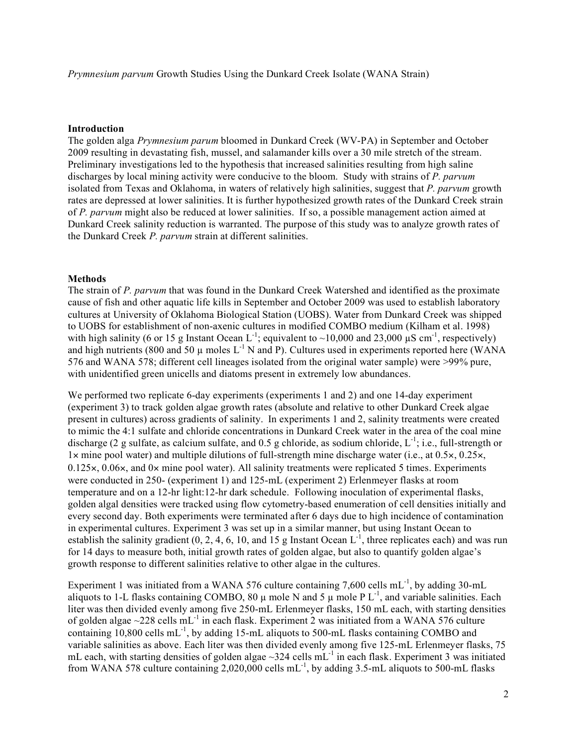*Prymnesium parvum* Growth Studies Using the Dunkard Creek Isolate (WANA Strain)

## **Introduction**

The golden alga *Prymnesium parum* bloomed in Dunkard Creek (WV-PA) in September and October 2009 resulting in devastating fish, mussel, and salamander kills over a 30 mile stretch of the stream. Preliminary investigations led to the hypothesis that increased salinities resulting from high saline discharges by local mining activity were conducive to the bloom. Study with strains of *P. parvum* isolated from Texas and Oklahoma, in waters of relatively high salinities, suggest that *P. parvum* growth rates are depressed at lower salinities. It is further hypothesized growth rates of the Dunkard Creek strain of *P. parvum* might also be reduced at lower salinities. If so, a possible management action aimed at Dunkard Creek salinity reduction is warranted. The purpose of this study was to analyze growth rates of the Dunkard Creek *P. parvum* strain at different salinities.

## **Methods**

The strain of *P. parvum* that was found in the Dunkard Creek Watershed and identified as the proximate cause of fish and other aquatic life kills in September and October 2009 was used to establish laboratory cultures at University of Oklahoma Biological Station (UOBS). Water from Dunkard Creek was shipped to UOBS for establishment of non-axenic cultures in modified COMBO medium (Kilham et al. 1998) with high salinity (6 or 15 g Instant Ocean L<sup>-1</sup>; equivalent to ~10,000 and 23,000  $\mu$ S cm<sup>-1</sup>, respectively) and high nutrients (800 and 50  $\mu$  moles L<sup>-1</sup> N and P). Cultures used in experiments reported here (WANA 576 and WANA 578; different cell lineages isolated from the original water sample) were >99% pure, with unidentified green unicells and diatoms present in extremely low abundances.

We performed two replicate 6-day experiments (experiments 1 and 2) and one 14-day experiment (experiment 3) to track golden algae growth rates (absolute and relative to other Dunkard Creek algae present in cultures) across gradients of salinity. In experiments 1 and 2, salinity treatments were created to mimic the 4:1 sulfate and chloride concentrations in Dunkard Creek water in the area of the coal mine discharge (2 g sulfate, as calcium sulfate, and 0.5 g chloride, as sodium chloride,  $L^{-1}$ ; i.e., full-strength or 1× mine pool water) and multiple dilutions of full-strength mine discharge water (i.e., at 0.5×, 0.25×,  $0.125 \times 0.06 \times$ , and  $0 \times$  mine pool water). All salinity treatments were replicated 5 times. Experiments were conducted in 250- (experiment 1) and 125-mL (experiment 2) Erlenmeyer flasks at room temperature and on a 12-hr light:12-hr dark schedule. Following inoculation of experimental flasks, golden algal densities were tracked using flow cytometry-based enumeration of cell densities initially and every second day. Both experiments were terminated after 6 days due to high incidence of contamination in experimental cultures. Experiment 3 was set up in a similar manner, but using Instant Ocean to establish the salinity gradient  $(0, 2, 4, 6, 10, 10)$  and  $(15 \text{ g} \text{ Instant Ocean } L^{-1})$ , three replicates each) and was run for 14 days to measure both, initial growth rates of golden algae, but also to quantify golden algae's growth response to different salinities relative to other algae in the cultures.

Experiment 1 was initiated from a WANA 576 culture containing 7,600 cells  $mL^{-1}$ , by adding 30-mL aliquots to 1-L flasks containing COMBO, 80  $\mu$  mole N and 5  $\mu$  mole P L<sup>-1</sup>, and variable salinities. Each liter was then divided evenly among five 250-mL Erlenmeyer flasks, 150 mL each, with starting densities of golden algae  $\sim$ 228 cells mL<sup>-1</sup> in each flask. Experiment 2 was initiated from a WANA 576 culture containing  $10,800$  cells  $mL^{-1}$ , by adding 15-mL aliquots to 500-mL flasks containing COMBO and variable salinities as above. Each liter was then divided evenly among five 125-mL Erlenmeyer flasks, 75 mL each, with starting densities of golden algae  $\sim$ 324 cells mL<sup>-1</sup> in each flask. Experiment 3 was initiated from WANA 578 culture containing  $2,020,000$  cells mL<sup>-1</sup>, by adding 3.5-mL aliquots to 500-mL flasks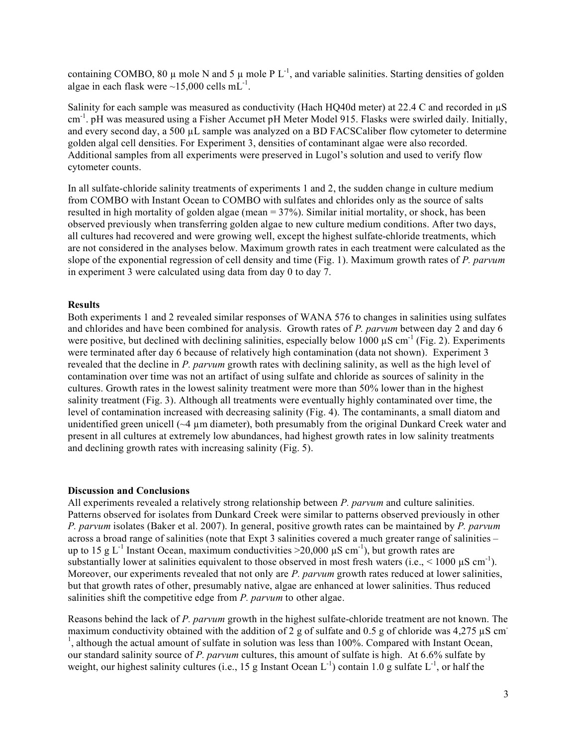containing COMBO, 80  $\mu$  mole N and 5  $\mu$  mole P L<sup>-1</sup>, and variable salinities. Starting densities of golden algae in each flask were  $\sim$ 15,000 cells mL<sup>-1</sup>.

Salinity for each sample was measured as conductivity (Hach HQ40d meter) at 22.4 C and recorded in  $\mu$ S cm<sup>-1</sup>. pH was measured using a Fisher Accumet pH Meter Model 915. Flasks were swirled daily. Initially, and every second day, a 500 µL sample was analyzed on a BD FACSCaliber flow cytometer to determine golden algal cell densities. For Experiment 3, densities of contaminant algae were also recorded. Additional samples from all experiments were preserved in Lugol's solution and used to verify flow cytometer counts.

In all sulfate-chloride salinity treatments of experiments 1 and 2, the sudden change in culture medium from COMBO with Instant Ocean to COMBO with sulfates and chlorides only as the source of salts resulted in high mortality of golden algae (mean = 37%). Similar initial mortality, or shock, has been observed previously when transferring golden algae to new culture medium conditions. After two days, all cultures had recovered and were growing well, except the highest sulfate-chloride treatments, which are not considered in the analyses below. Maximum growth rates in each treatment were calculated as the slope of the exponential regression of cell density and time (Fig. 1). Maximum growth rates of *P. parvum* in experiment 3 were calculated using data from day 0 to day 7.

## **Results**

Both experiments 1 and 2 revealed similar responses of WANA 576 to changes in salinities using sulfates and chlorides and have been combined for analysis. Growth rates of *P. parvum* between day 2 and day 6 were positive, but declined with declining salinities, especially below  $1000 \mu S$  cm<sup>-1</sup> (Fig. 2). Experiments were terminated after day 6 because of relatively high contamination (data not shown). Experiment 3 revealed that the decline in *P. parvum* growth rates with declining salinity, as well as the high level of contamination over time was not an artifact of using sulfate and chloride as sources of salinity in the cultures. Growth rates in the lowest salinity treatment were more than 50% lower than in the highest salinity treatment (Fig. 3). Although all treatments were eventually highly contaminated over time, the level of contamination increased with decreasing salinity (Fig. 4). The contaminants, a small diatom and unidentified green unicell  $(\sim 4 \mu m)$  diameter), both presumably from the original Dunkard Creek water and present in all cultures at extremely low abundances, had highest growth rates in low salinity treatments and declining growth rates with increasing salinity (Fig. 5).

#### **Discussion and Conclusions**

All experiments revealed a relatively strong relationship between *P. parvum* and culture salinities. Patterns observed for isolates from Dunkard Creek were similar to patterns observed previously in other *P. parvum* isolates (Baker et al. 2007). In general, positive growth rates can be maintained by *P. parvum* across a broad range of salinities (note that Expt 3 salinities covered a much greater range of salinities – up to 15 g L<sup>-1</sup> Instant Ocean, maximum conductivities  $>$ 20,000  $\mu$ S cm<sup>-1</sup>), but growth rates are substantially lower at salinities equivalent to those observed in most fresh waters (i.e.,  $\leq 1000 \mu S \text{ cm}^{-1}$ ). Moreover, our experiments revealed that not only are *P. parvum* growth rates reduced at lower salinities, but that growth rates of other, presumably native, algae are enhanced at lower salinities. Thus reduced salinities shift the competitive edge from *P. parvum* to other algae.

Reasons behind the lack of *P. parvum* growth in the highest sulfate-chloride treatment are not known. The maximum conductivity obtained with the addition of 2 g of sulfate and 0.5 g of chloride was  $4.275 \mu S$  cm <sup>1</sup>, although the actual amount of sulfate in solution was less than 100%. Compared with Instant Ocean, our standard salinity source of *P. parvum* cultures, this amount of sulfate is high. At 6.6% sulfate by weight, our highest salinity cultures (i.e., 15 g Instant Ocean  $L^{-1}$ ) contain 1.0 g sulfate  $L^{-1}$ , or half the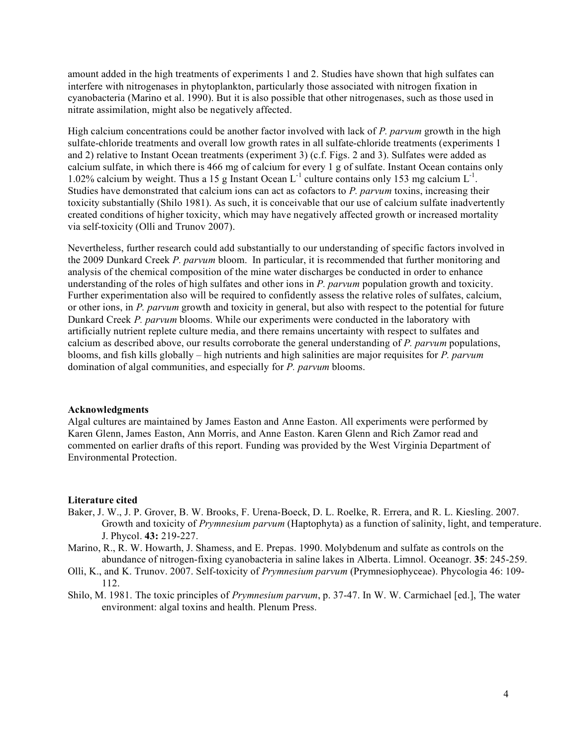amount added in the high treatments of experiments 1 and 2. Studies have shown that high sulfates can interfere with nitrogenases in phytoplankton, particularly those associated with nitrogen fixation in cyanobacteria (Marino et al. 1990). But it is also possible that other nitrogenases, such as those used in nitrate assimilation, might also be negatively affected.

High calcium concentrations could be another factor involved with lack of *P. parvum* growth in the high sulfate-chloride treatments and overall low growth rates in all sulfate-chloride treatments (experiments 1 and 2) relative to Instant Ocean treatments (experiment 3) (c.f. Figs. 2 and 3). Sulfates were added as calcium sulfate, in which there is 466 mg of calcium for every 1 g of sulfate. Instant Ocean contains only 1.02% calcium by weight. Thus a 15 g Instant Ocean  $L^{-1}$  culture contains only 153 mg calcium  $L^{-1}$ . Studies have demonstrated that calcium ions can act as cofactors to *P. parvum* toxins, increasing their toxicity substantially (Shilo 1981). As such, it is conceivable that our use of calcium sulfate inadvertently created conditions of higher toxicity, which may have negatively affected growth or increased mortality via self-toxicity (Olli and Trunov 2007).

Nevertheless, further research could add substantially to our understanding of specific factors involved in the 2009 Dunkard Creek *P. parvum* bloom. In particular, it is recommended that further monitoring and analysis of the chemical composition of the mine water discharges be conducted in order to enhance understanding of the roles of high sulfates and other ions in *P. parvum* population growth and toxicity. Further experimentation also will be required to confidently assess the relative roles of sulfates, calcium, or other ions, in *P. parvum* growth and toxicity in general, but also with respect to the potential for future Dunkard Creek *P. parvum* blooms. While our experiments were conducted in the laboratory with artificially nutrient replete culture media, and there remains uncertainty with respect to sulfates and calcium as described above, our results corroborate the general understanding of *P. parvum* populations, blooms, and fish kills globally – high nutrients and high salinities are major requisites for *P. parvum* domination of algal communities, and especially for *P. parvum* blooms.

# **Acknowledgments**

Algal cultures are maintained by James Easton and Anne Easton. All experiments were performed by Karen Glenn, James Easton, Ann Morris, and Anne Easton. Karen Glenn and Rich Zamor read and commented on earlier drafts of this report. Funding was provided by the West Virginia Department of Environmental Protection.

## **Literature cited**

- Baker, J. W., J. P. Grover, B. W. Brooks, F. Urena-Boeck, D. L. Roelke, R. Errera, and R. L. Kiesling. 2007. Growth and toxicity of *Prymnesium parvum* (Haptophyta) as a function of salinity, light, and temperature. J. Phycol. **43:** 219-227.
- Marino, R., R. W. Howarth, J. Shamess, and E. Prepas. 1990. Molybdenum and sulfate as controls on the abundance of nitrogen-fixing cyanobacteria in saline lakes in Alberta. Limnol. Oceanogr. **35**: 245-259.
- Olli, K., and K. Trunov. 2007. Self-toxicity of *Prymnesium parvum* (Prymnesiophyceae). Phycologia 46: 109- 112.
- Shilo, M. 1981. The toxic principles of *Prymnesium parvum*, p. 37-47. In W. W. Carmichael [ed.], The water environment: algal toxins and health. Plenum Press.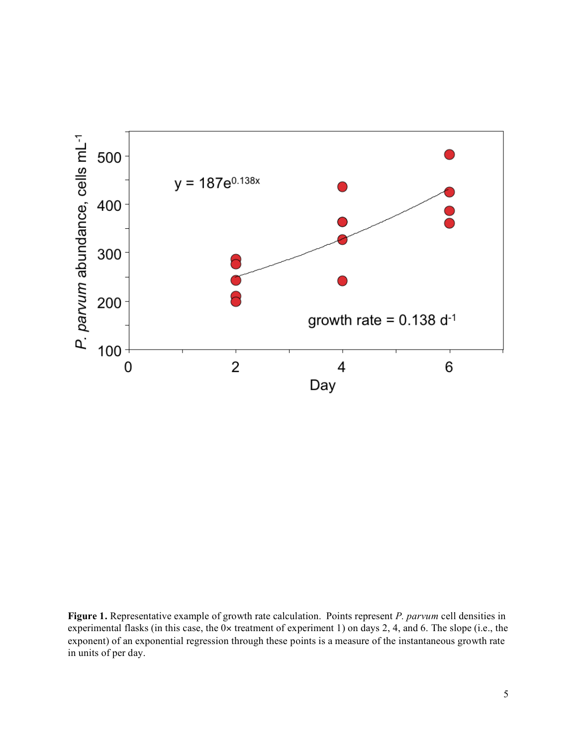

**Figure 1.** Representative example of growth rate calculation. Points represent *P. parvum* cell densities in experimental flasks (in this case, the 0× treatment of experiment 1) on days 2, 4, and 6. The slope (i.e., the exponent) of an exponential regression through these points is a measure of the instantaneous growth rate in units of per day.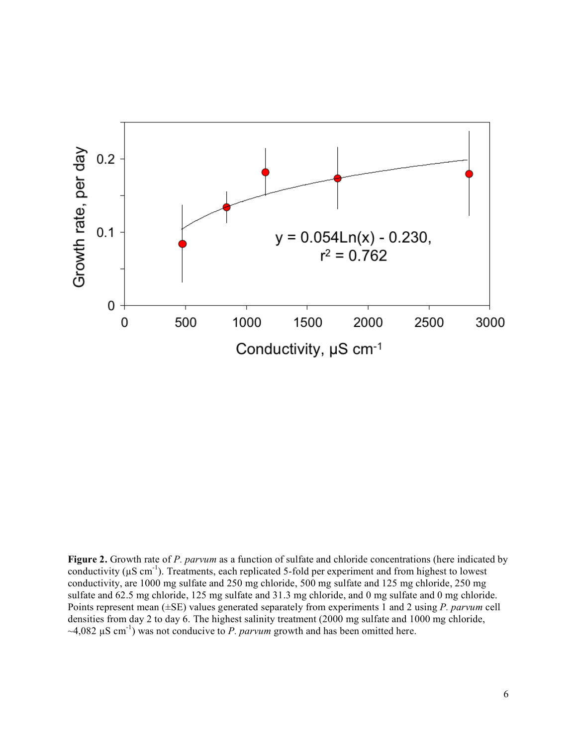

**Figure 2.** Growth rate of *P. parvum* as a function of sulfate and chloride concentrations (here indicated by conductivity ( $\mu$ S cm<sup>-1</sup>). Treatments, each replicated 5-fold per experiment and from highest to lowest conductivity, are 1000 mg sulfate and 250 mg chloride, 500 mg sulfate and 125 mg chloride, 250 mg sulfate and 62.5 mg chloride, 125 mg sulfate and 31.3 mg chloride, and 0 mg sulfate and 0 mg chloride. Points represent mean (±SE) values generated separately from experiments 1 and 2 using *P. parvum* cell densities from day 2 to day 6. The highest salinity treatment (2000 mg sulfate and 1000 mg chloride,  $\sim$ 4,082  $\mu$ S cm<sup>-1</sup>) was not conducive to *P. parvum* growth and has been omitted here.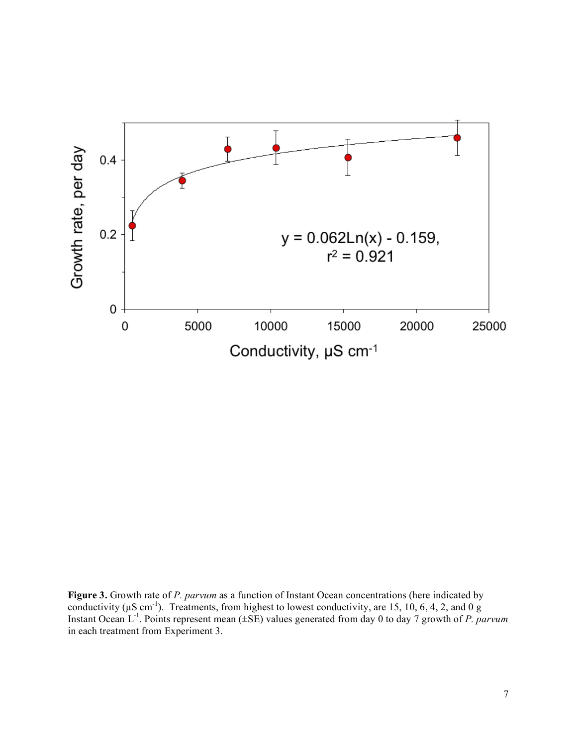

**Figure 3.** Growth rate of *P. parvum* as a function of Instant Ocean concentrations (here indicated by conductivity ( $\mu$ S cm<sup>-1</sup>). Treatments, from highest to lowest conductivity, are 15, 10, 6, 4, 2, and 0 g Instant Ocean L<sup>-1</sup>. Points represent mean (±SE) values generated from day 0 to day 7 growth of *P. parvum* in each treatment from Experiment 3.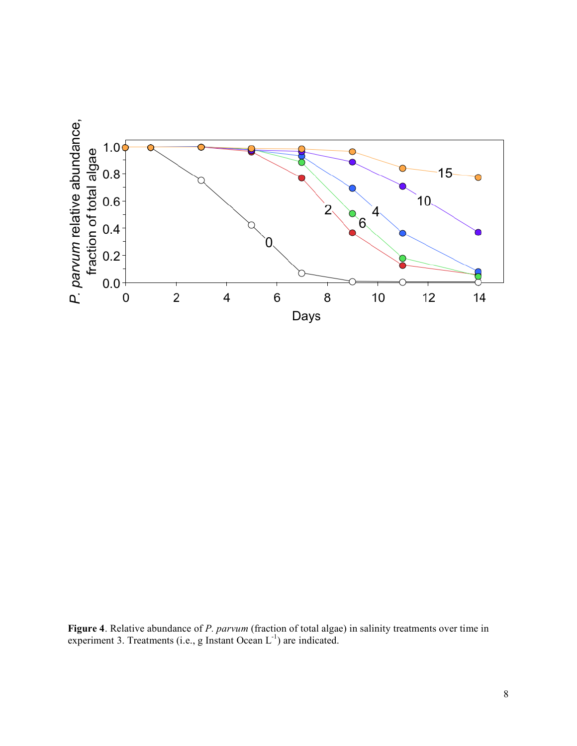

**Figure 4**. Relative abundance of *P. parvum* (fraction of total algae) in salinity treatments over time in experiment 3. Treatments (i.e., g Instant Ocean  $L^{-1}$ ) are indicated.